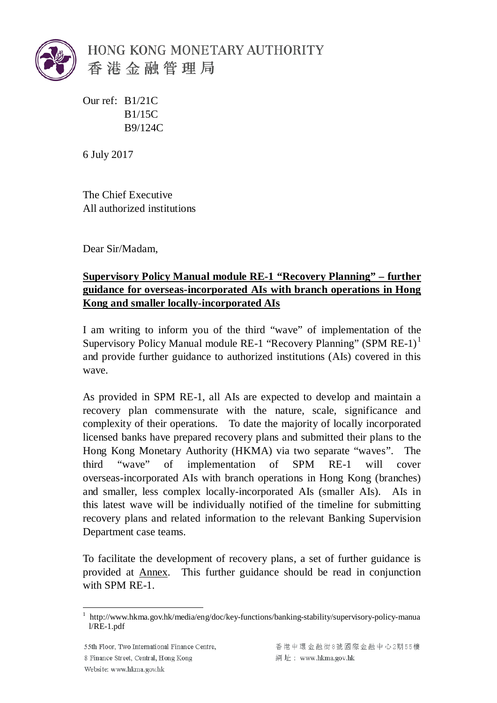

Our ref: B1/21C B1/15C B9/124C

6 July 2017

The Chief Executive All authorized institutions

Dear Sir/Madam,

# **Supervisory Policy Manual module RE-1 "Recovery Planning" – further guidance for overseas-incorporated AIs with branch operations in Hong Kong and smaller locally-incorporated AIs**

I am writing to inform you of the third "wave" of implementation of the Supervisory Policy Manual module RE-[1](#page-0-0) "Recovery Planning" (SPM RE-1)<sup>1</sup> and provide further guidance to authorized institutions (AIs) covered in this wave.

As provided in SPM RE-1, all AIs are expected to develop and maintain a recovery plan commensurate with the nature, scale, significance and complexity of their operations. To date the majority of locally incorporated licensed banks have prepared recovery plans and submitted their plans to the Hong Kong Monetary Authority (HKMA) via two separate "waves". The third "wave" of implementation of SPM RE-1 will cover overseas-incorporated AIs with branch operations in Hong Kong (branches) and smaller, less complex locally-incorporated AIs (smaller AIs). AIs in this latest wave will be individually notified of the timeline for submitting recovery plans and related information to the relevant Banking Supervision Department case teams.

To facilitate the development of recovery plans, a set of further guidance is provided at Annex. This further guidance should be read in conjunction with SPM RE-1.

55th Floor, Two International Finance Centre, 8 Finance Street, Central, Hong Kong Website: www.hkma.gov.hk

香港中環金融街8號國際金融中心2期55樓 網址: www.hkma.gov.hk

<span id="page-0-0"></span><sup>1</sup> http://www.hkma.gov.hk/media/eng/doc/key-functions/banking-stability/supervisory-policy-manua l/RE-1.pdf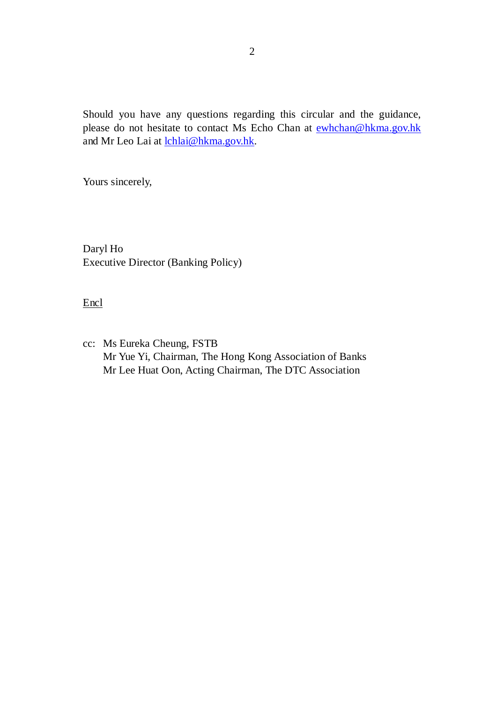Should you have any questions regarding this circular and the guidance, please do not hesitate to contact Ms Echo Chan at [ewhchan@hkma.gov.hk](mailto:ewhchan@hkma.gov.hk) and Mr Leo Lai at [lchlai@hkma.gov.hk.](mailto:lchlai@hkma.gov.hk)

Yours sincerely,

Daryl Ho Executive Director (Banking Policy)

**Encl** 

cc: Ms Eureka Cheung, FSTB Mr Yue Yi, Chairman, The Hong Kong Association of Banks Mr Lee Huat Oon, Acting Chairman, The DTC Association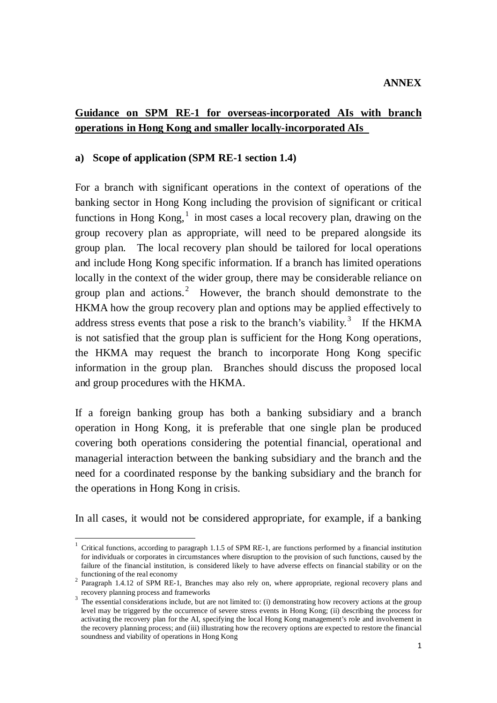# **Guidance on SPM RE-1 for overseas-incorporated AIs with branch operations in Hong Kong and smaller locally-incorporated AIs**

#### **a) Scope of application (SPM RE-1 section 1.4)**

For a branch with significant operations in the context of operations of the banking sector in Hong Kong including the provision of significant or critical functions in Hong  $Kong$ <sup>[1](#page-2-0)</sup> in most cases a local recovery plan, drawing on the group recovery plan as appropriate, will need to be prepared alongside its group plan. The local recovery plan should be tailored for local operations and include Hong Kong specific information. If a branch has limited operations locally in the context of the wider group, there may be considerable reliance on group plan and actions.<sup>[2](#page-2-1)</sup> However, the branch should demonstrate to the HKMA how the group recovery plan and options may be applied effectively to address stress events that pose a risk to the branch's viability.<sup>[3](#page-2-2)</sup> If the HKMA is not satisfied that the group plan is sufficient for the Hong Kong operations, the HKMA may request the branch to incorporate Hong Kong specific information in the group plan. Branches should discuss the proposed local and group procedures with the HKMA.

If a foreign banking group has both a banking subsidiary and a branch operation in Hong Kong, it is preferable that one single plan be produced covering both operations considering the potential financial, operational and managerial interaction between the banking subsidiary and the branch and the need for a coordinated response by the banking subsidiary and the branch for the operations in Hong Kong in crisis.

In all cases, it would not be considered appropriate, for example, if a banking

<span id="page-2-0"></span><sup>&</sup>lt;sup>1</sup> Critical functions, according to paragraph 1.1.5 of SPM RE-1, are functions performed by a financial institution for individuals or corporates in circumstances where disruption to the provision of such functions, caused by the failure of the financial institution, is considered likely to have adverse effects on financial stability or on the functioning of the real economy

<span id="page-2-1"></span><sup>&</sup>lt;sup>2</sup> Paragraph 1.4.12 of SPM RE-1, Branches may also rely on, where appropriate, regional recovery plans and recovery planning process and frameworks

<span id="page-2-3"></span><span id="page-2-2"></span><sup>&</sup>lt;sup>3</sup> The essential considerations include, but are not limited to: (i) demonstrating how recovery actions at the group level may be triggered by the occurrence of severe stress events in Hong Kong; (ii) describing the process for activating the recovery plan for the AI, specifying the local Hong Kong management's role and involvement in the recovery planning process; and (iii) illustrating how the recovery options are expected to restore the financial soundness and viability of operations in Hong Kong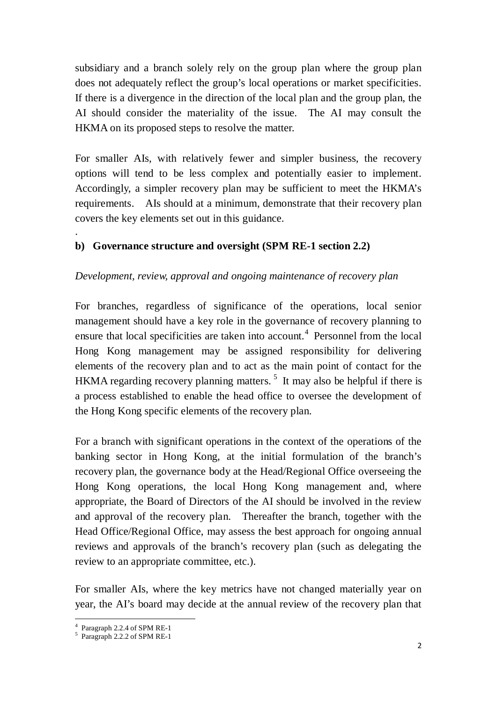subsidiary and a branch solely rely on the group plan where the group plan does not adequately reflect the group's local operations or market specificities. If there is a divergence in the direction of the local plan and the group plan, the AI should consider the materiality of the issue. The AI may consult the HKMA on its proposed steps to resolve the matter.

For smaller AIs, with relatively fewer and simpler business, the recovery options will tend to be less complex and potentially easier to implement. Accordingly, a simpler recovery plan may be sufficient to meet the HKMA's requirements. AIs should at a minimum, demonstrate that their recovery plan covers the key elements set out in this guidance.

## **b) Governance structure and oversight (SPM RE-1 section 2.2)**

## *Development, review, approval and ongoing maintenance of recovery plan*

For branches, regardless of significance of the operations, local senior management should have a key role in the governance of recovery planning to ensure that local specificities are taken into account.<sup>[4](#page-2-3)</sup> Personnel from the local Hong Kong management may be assigned responsibility for delivering elements of the recovery plan and to act as the main point of contact for the HKMA regarding recovery planning matters.<sup>[5](#page-3-0)</sup> It may also be helpful if there is a process established to enable the head office to oversee the development of the Hong Kong specific elements of the recovery plan.

For a branch with significant operations in the context of the operations of the banking sector in Hong Kong, at the initial formulation of the branch's recovery plan, the governance body at the Head/Regional Office overseeing the Hong Kong operations, the local Hong Kong management and, where appropriate, the Board of Directors of the AI should be involved in the review and approval of the recovery plan. Thereafter the branch, together with the Head Office/Regional Office, may assess the best approach for ongoing annual reviews and approvals of the branch's recovery plan (such as delegating the review to an appropriate committee, etc.).

For smaller AIs, where the key metrics have not changed materially year on year, the AI's board may decide at the annual review of the recovery plan that

.

<span id="page-3-1"></span> $4$  Paragraph 2.2.4 of SPM RE-1

<span id="page-3-0"></span> $5$  Paragraph 2.2.2 of SPM RE-1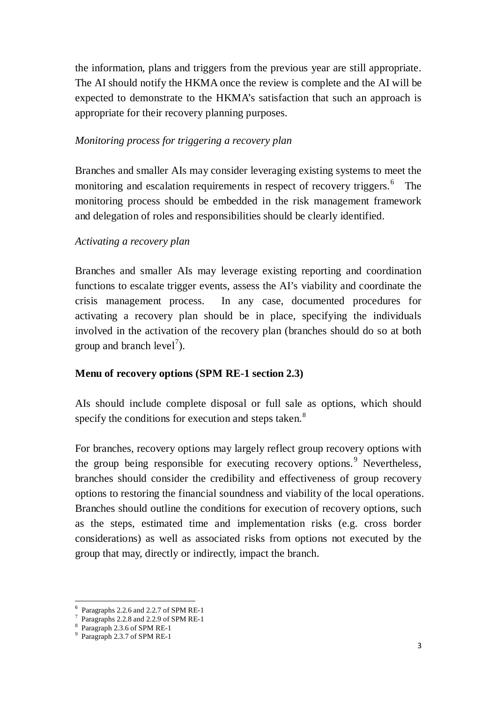the information, plans and triggers from the previous year are still appropriate. The AI should notify the HKMA once the review is complete and the AI will be expected to demonstrate to the HKMA's satisfaction that such an approach is appropriate for their recovery planning purposes.

## *Monitoring process for triggering a recovery plan*

Branches and smaller AIs may consider leveraging existing systems to meet the monitoring and escalation requirements in respect of recovery triggers.<sup>[6](#page-3-1)</sup> The monitoring process should be embedded in the risk management framework and delegation of roles and responsibilities should be clearly identified.

## *Activating a recovery plan*

Branches and smaller AIs may leverage existing reporting and coordination functions to escalate trigger events, assess the AI's viability and coordinate the crisis management process. In any case, documented procedures for activating a recovery plan should be in place, specifying the individuals involved in the activation of the recovery plan (branches should do so at both group and branch  $level<sup>7</sup>$  $level<sup>7</sup>$  $level<sup>7</sup>$ ).

## **Menu of recovery options (SPM RE-1 section 2.3)**

AIs should include complete disposal or full sale as options, which should specify the conditions for execution and steps taken.<sup>[8](#page-4-1)</sup>

For branches, recovery options may largely reflect group recovery options with the group being responsible for executing recovery options.<sup>[9](#page-4-2)</sup> Nevertheless, branches should consider the credibility and effectiveness of group recovery options to restoring the financial soundness and viability of the local operations. Branches should outline the conditions for execution of recovery options, such as the steps, estimated time and implementation risks (e.g. cross border considerations) as well as associated risks from options not executed by the group that may, directly or indirectly, impact the branch.

 <sup>6</sup> Paragraphs 2.2.6 and 2.2.7 of SPM RE-1

<span id="page-4-3"></span><span id="page-4-1"></span><span id="page-4-0"></span> $\frac{7}{8}$  Paragraphs 2.2.8 and 2.2.9 of SPM RE-1<br> $\frac{8}{9}$  Paragraph 2.3.6 of SPM RE-1<br> $\frac{9}{9}$  Paragraph 2.3.7 of SPM RE-1

<span id="page-4-2"></span>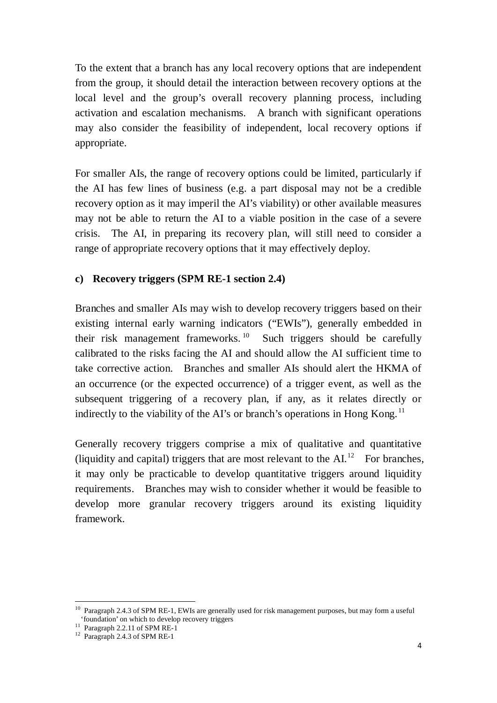To the extent that a branch has any local recovery options that are independent from the group, it should detail the interaction between recovery options at the local level and the group's overall recovery planning process, including activation and escalation mechanisms. A branch with significant operations may also consider the feasibility of independent, local recovery options if appropriate.

For smaller AIs, the range of recovery options could be limited, particularly if the AI has few lines of business (e.g. a part disposal may not be a credible recovery option as it may imperil the AI's viability) or other available measures may not be able to return the AI to a viable position in the case of a severe crisis. The AI, in preparing its recovery plan, will still need to consider a range of appropriate recovery options that it may effectively deploy.

## **c) Recovery triggers (SPM RE-1 section 2.4)**

Branches and smaller AIs may wish to develop recovery triggers based on their existing internal early warning indicators ("EWIs"), generally embedded in their risk management frameworks.<sup>[10](#page-4-3)</sup> Such triggers should be carefully calibrated to the risks facing the AI and should allow the AI sufficient time to take corrective action. Branches and smaller AIs should alert the HKMA of an occurrence (or the expected occurrence) of a trigger event, as well as the subsequent triggering of a recovery plan, if any, as it relates directly or indirectly to the viability of the AI's or branch's operations in Hong Kong.<sup>[11](#page-5-0)</sup>

Generally recovery triggers comprise a mix of qualitative and quantitative (liquidity and capital) triggers that are most relevant to the  $AI<sup>12</sup>$  $AI<sup>12</sup>$  $AI<sup>12</sup>$  For branches, it may only be practicable to develop quantitative triggers around liquidity requirements. Branches may wish to consider whether it would be feasible to develop more granular recovery triggers around its existing liquidity framework.

-

 $10$  Paragraph 2.4.3 of SPM RE-1, EWIs are generally used for risk management purposes, but may form a useful 'foundation' on which to develop recovery triggers 11 Paragraph 2.2.11 of SPM RE-1 <sup>12</sup> Paragraph 2.4.3 of SPM RE-1

<span id="page-5-0"></span>

<span id="page-5-1"></span>